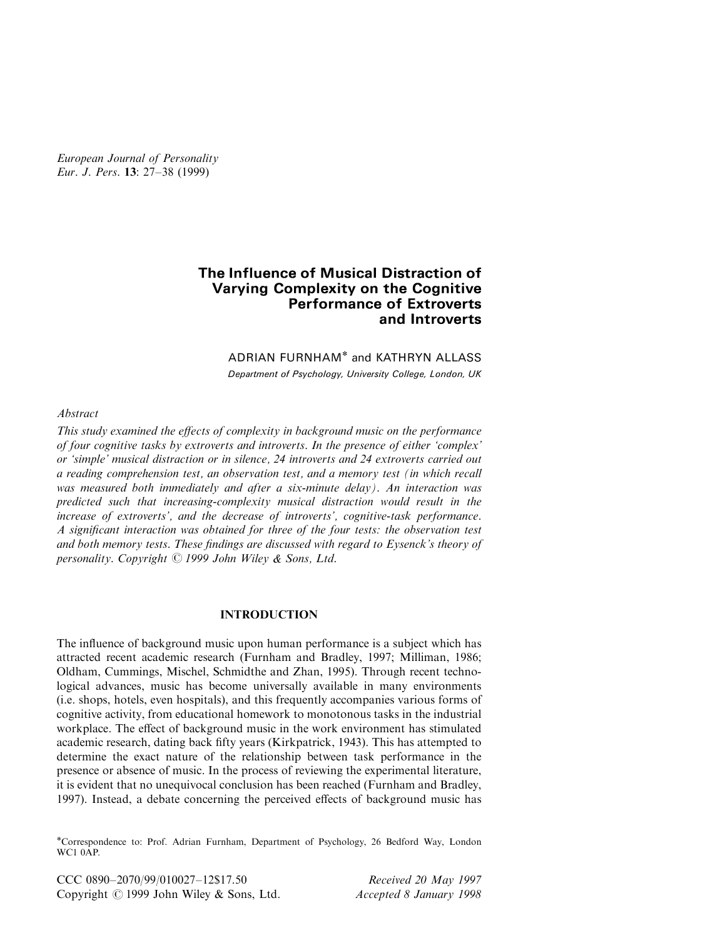European Journal of Personality Eur. J. Pers. 13: 27–38 (1999)

# **The Influence of Musical Distraction of** Varying Complexity on the Cognitive Performance of Extroverts and Introverts

# ADRIAN FURNHAM\* and KATHRYN ALLASS

Department of Psychology, University College, London, UK

### Abstract

This study examined the effects of complexity in background music on the performance of four cognitive tasks by extroverts and introverts. In the presence of either `complex' or `simple' musical distraction or in silence, 24 introverts and 24 extroverts carried out a reading comprehension test, an observation test, and a memory test (in which recall was measured both immediately and after a six-minute delay). An interaction was predicted such that increasing-complexity musical distraction would result in the increase of extroverts', and the decrease of introverts', cognitive-task performance. A significant interaction was obtained for three of the four tests: the observation test and both memory tests. These findings are discussed with regard to Eysenck's theory of personality. Copyright  $\oslash$  1999 John Wiley & Sons, Ltd.

### INTRODUCTION

The influence of background music upon human performance is a subject which has attracted recent academic research (Furnham and Bradley, 1997; Milliman, 1986; Oldham, Cummings, Mischel, Schmidthe and Zhan, 1995). Through recent technological advances, music has become universally available in many environments (i.e. shops, hotels, even hospitals), and this frequently accompanies various forms of cognitive activity, from educational homework to monotonous tasks in the industrial workplace. The effect of background music in the work environment has stimulated academic research, dating back fifty years (Kirkpatrick, 1943). This has attempted to determine the exact nature of the relationship between task performance in the presence or absence of music. In the process of reviewing the experimental literature, it is evident that no unequivocal conclusion has been reached (Furnham and Bradley, 1997). Instead, a debate concerning the perceived effects of background music has

\*Correspondence to: Prof. Adrian Furnham, Department of Psychology, 26 Bedford Way, London WC1 0AP.

CCC 0890-2070/99/010027-12\$17.50 Received 20 May 1997 Copyright © 1999 John Wiley & Sons, Ltd. Accepted 8 January 1998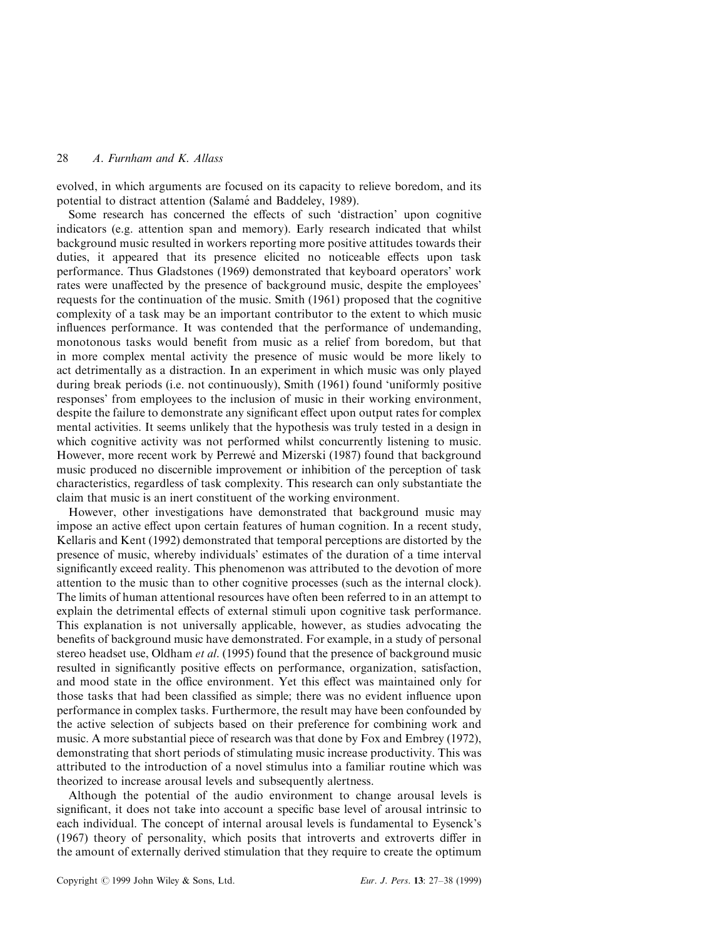evolved, in which arguments are focused on its capacity to relieve boredom, and its potential to distract attention (Salamé and Baddeley, 1989).

Some research has concerned the effects of such 'distraction' upon cognitive indicators (e.g. attention span and memory). Early research indicated that whilst background music resulted in workers reporting more positive attitudes towards their duties, it appeared that its presence elicited no noticeable effects upon task performance. Thus Gladstones (1969) demonstrated that keyboard operators' work rates were unaffected by the presence of background music, despite the employees' requests for the continuation of the music. Smith (1961) proposed that the cognitive complexity of a task may be an important contributor to the extent to which music influences performance. It was contended that the performance of undemanding, monotonous tasks would benefit from music as a relief from boredom, but that in more complex mental activity the presence of music would be more likely to act detrimentally as a distraction. In an experiment in which music was only played during break periods (i.e. not continuously), Smith (1961) found `uniformly positive responses' from employees to the inclusion of music in their working environment, despite the failure to demonstrate any significant effect upon output rates for complex mental activities. It seems unlikely that the hypothesis was truly tested in a design in which cognitive activity was not performed whilst concurrently listening to music. However, more recent work by Perrewé and Mizerski (1987) found that background music produced no discernible improvement or inhibition of the perception of task characteristics, regardless of task complexity. This research can only substantiate the claim that music is an inert constituent of the working environment.

However, other investigations have demonstrated that background music may impose an active effect upon certain features of human cognition. In a recent study, Kellaris and Kent (1992) demonstrated that temporal perceptions are distorted by the presence of music, whereby individuals' estimates of the duration of a time interval significantly exceed reality. This phenomenon was attributed to the devotion of more attention to the music than to other cognitive processes (such as the internal clock). The limits of human attentional resources have often been referred to in an attempt to explain the detrimental effects of external stimuli upon cognitive task performance. This explanation is not universally applicable, however, as studies advocating the benefits of background music have demonstrated. For example, in a study of personal stereo headset use, Oldham *et al.* (1995) found that the presence of background music resulted in significantly positive effects on performance, organization, satisfaction, and mood state in the office environment. Yet this effect was maintained only for those tasks that had been classified as simple; there was no evident influence upon performance in complex tasks. Furthermore, the result may have been confounded by the active selection of subjects based on their preference for combining work and music. A more substantial piece of research was that done by Fox and Embrey (1972), demonstrating that short periods of stimulating music increase productivity. This was attributed to the introduction of a novel stimulus into a familiar routine which was theorized to increase arousal levels and subsequently alertness.

Although the potential of the audio environment to change arousal levels is significant, it does not take into account a specific base level of arousal intrinsic to each individual. The concept of internal arousal levels is fundamental to Eysenck's (1967) theory of personality, which posits that introverts and extroverts differ in the amount of externally derived stimulation that they require to create the optimum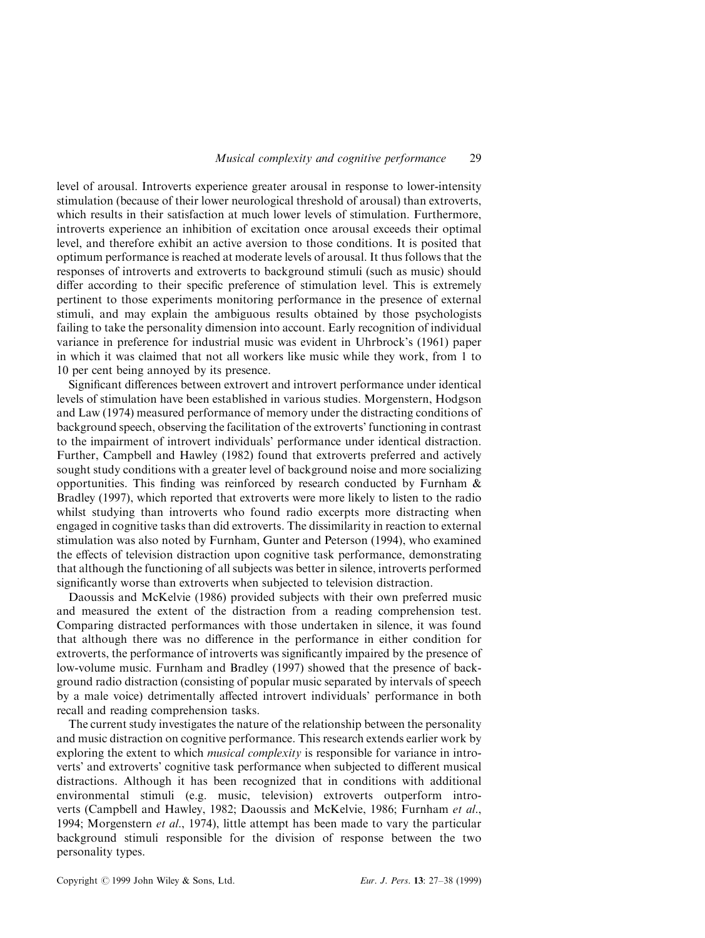level of arousal. Introverts experience greater arousal in response to lower-intensity stimulation (because of their lower neurological threshold of arousal) than extroverts, which results in their satisfaction at much lower levels of stimulation. Furthermore, introverts experience an inhibition of excitation once arousal exceeds their optimal level, and therefore exhibit an active aversion to those conditions. It is posited that optimum performance is reached at moderate levels of arousal. It thus follows that the responses of introverts and extroverts to background stimuli (such as music) should differ according to their specific preference of stimulation level. This is extremely pertinent to those experiments monitoring performance in the presence of external stimuli, and may explain the ambiguous results obtained by those psychologists failing to take the personality dimension into account. Early recognition of individual variance in preference for industrial music was evident in Uhrbrock's (1961) paper in which it was claimed that not all workers like music while they work, from 1 to 10 per cent being annoyed by its presence.

Significant differences between extrovert and introvert performance under identical levels of stimulation have been established in various studies. Morgenstern, Hodgson and Law (1974) measured performance of memory under the distracting conditions of background speech, observing the facilitation of the extroverts' functioning in contrast to the impairment of introvert individuals' performance under identical distraction. Further, Campbell and Hawley (1982) found that extroverts preferred and actively sought study conditions with a greater level of background noise and more socializing opportunities. This finding was reinforced by research conducted by Furnham  $\&$ Bradley (1997), which reported that extroverts were more likely to listen to the radio whilst studying than introverts who found radio excerpts more distracting when engaged in cognitive tasks than did extroverts. The dissimilarity in reaction to external stimulation was also noted by Furnham, Gunter and Peterson (1994), who examined the effects of television distraction upon cognitive task performance, demonstrating that although the functioning of all subjects was better in silence, introverts performed significantly worse than extroverts when subjected to television distraction.

Daoussis and McKelvie (1986) provided subjects with their own preferred music and measured the extent of the distraction from a reading comprehension test. Comparing distracted performances with those undertaken in silence, it was found that although there was no difference in the performance in either condition for extroverts, the performance of introverts was significantly impaired by the presence of low-volume music. Furnham and Bradley (1997) showed that the presence of background radio distraction (consisting of popular music separated by intervals of speech by a male voice) detrimentally affected introvert individuals' performance in both recall and reading comprehension tasks.

The current study investigates the nature of the relationship between the personality and music distraction on cognitive performance. This research extends earlier work by exploring the extent to which *musical complexity* is responsible for variance in introverts' and extroverts' cognitive task performance when subjected to different musical distractions. Although it has been recognized that in conditions with additional environmental stimuli (e.g. music, television) extroverts outperform introverts (Campbell and Hawley, 1982; Daoussis and McKelvie, 1986; Furnham et al., 1994; Morgenstern et al., 1974), little attempt has been made to vary the particular background stimuli responsible for the division of response between the two personality types.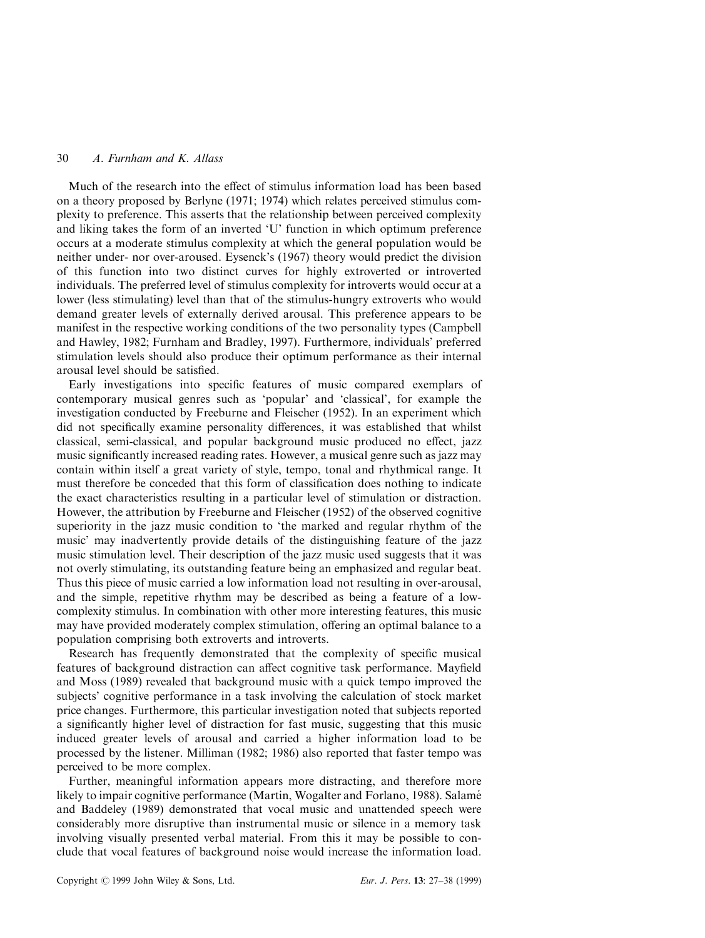Much of the research into the effect of stimulus information load has been based on a theory proposed by Berlyne (1971; 1974) which relates perceived stimulus complexity to preference. This asserts that the relationship between perceived complexity and liking takes the form of an inverted `U' function in which optimum preference occurs at a moderate stimulus complexity at which the general population would be neither under- nor over-aroused. Eysenck's (1967) theory would predict the division of this function into two distinct curves for highly extroverted or introverted individuals. The preferred level of stimulus complexity for introverts would occur at a lower (less stimulating) level than that of the stimulus-hungry extroverts who would demand greater levels of externally derived arousal. This preference appears to be manifest in the respective working conditions of the two personality types (Campbell and Hawley, 1982; Furnham and Bradley, 1997). Furthermore, individuals' preferred stimulation levels should also produce their optimum performance as their internal arousal level should be satisfied.

Early investigations into specific features of music compared exemplars of contemporary musical genres such as `popular' and `classical', for example the investigation conducted by Freeburne and Fleischer (1952). In an experiment which did not specifically examine personality differences, it was established that whilst classical, semi-classical, and popular background music produced no effect, jazz music significantly increased reading rates. However, a musical genre such as jazz may contain within itself a great variety of style, tempo, tonal and rhythmical range. It must therefore be conceded that this form of classification does nothing to indicate the exact characteristics resulting in a particular level of stimulation or distraction. However, the attribution by Freeburne and Fleischer (1952) of the observed cognitive superiority in the jazz music condition to 'the marked and regular rhythm of the music' may inadvertently provide details of the distinguishing feature of the jazz music stimulation level. Their description of the jazz music used suggests that it was not overly stimulating, its outstanding feature being an emphasized and regular beat. Thus this piece of music carried a low information load not resulting in over-arousal, and the simple, repetitive rhythm may be described as being a feature of a lowcomplexity stimulus. In combination with other more interesting features, this music may have provided moderately complex stimulation, offering an optimal balance to a population comprising both extroverts and introverts.

Research has frequently demonstrated that the complexity of specific musical features of background distraction can affect cognitive task performance. Mayfield and Moss (1989) revealed that background music with a quick tempo improved the subjects' cognitive performance in a task involving the calculation of stock market price changes. Furthermore, this particular investigation noted that subjects reported a significantly higher level of distraction for fast music, suggesting that this music induced greater levels of arousal and carried a higher information load to be processed by the listener. Milliman (1982; 1986) also reported that faster tempo was perceived to be more complex.

Further, meaningful information appears more distracting, and therefore more likely to impair cognitive performance (Martin, Wogalter and Forlano, 1988). Salamé and Baddeley (1989) demonstrated that vocal music and unattended speech were considerably more disruptive than instrumental music or silence in a memory task involving visually presented verbal material. From this it may be possible to conclude that vocal features of background noise would increase the information load.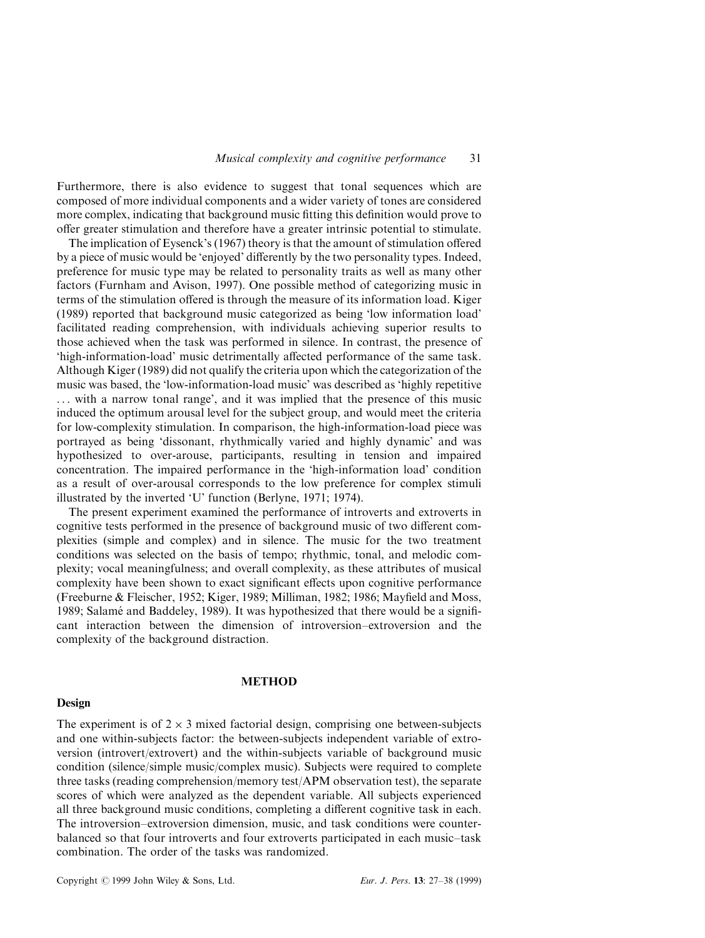Furthermore, there is also evidence to suggest that tonal sequences which are composed of more individual components and a wider variety of tones are considered more complex, indicating that background music fitting this definition would prove to offer greater stimulation and therefore have a greater intrinsic potential to stimulate.

The implication of Eysenck's  $(1967)$  theory is that the amount of stimulation offered by a piece of music would be 'enjoyed' differently by the two personality types. Indeed, preference for music type may be related to personality traits as well as many other factors (Furnham and Avison, 1997). One possible method of categorizing music in terms of the stimulation offered is through the measure of its information load. Kiger (1989) reported that background music categorized as being `low information load' facilitated reading comprehension, with individuals achieving superior results to those achieved when the task was performed in silence. In contrast, the presence of 'high-information-load' music detrimentally affected performance of the same task. Although Kiger (1989) did not qualify the criteria upon which the categorization of the music was based, the `low-information-load music' was described as `highly repetitive ... with a narrow tonal range', and it was implied that the presence of this music induced the optimum arousal level for the subject group, and would meet the criteria for low-complexity stimulation. In comparison, the high-information-load piece was portrayed as being `dissonant, rhythmically varied and highly dynamic' and was hypothesized to over-arouse, participants, resulting in tension and impaired concentration. The impaired performance in the `high-information load' condition as a result of over-arousal corresponds to the low preference for complex stimuli illustrated by the inverted `U' function (Berlyne, 1971; 1974).

The present experiment examined the performance of introverts and extroverts in cognitive tests performed in the presence of background music of two different complexities (simple and complex) and in silence. The music for the two treatment conditions was selected on the basis of tempo; rhythmic, tonal, and melodic complexity; vocal meaningfulness; and overall complexity, as these attributes of musical complexity have been shown to exact significant effects upon cognitive performance (Freeburne & Fleischer, 1952; Kiger, 1989; Milliman, 1982; 1986; Mayfield and Moss, 1989; Salamé and Baddeley, 1989). It was hypothesized that there would be a significant interaction between the dimension of introversion-extroversion and the complexity of the background distraction.

### **METHOD**

### Design

The experiment is of  $2 \times 3$  mixed factorial design, comprising one between-subjects and one within-subjects factor: the between-subjects independent variable of extroversion (introvert/extrovert) and the within-subjects variable of background music condition (silence/simple music/complex music). Subjects were required to complete three tasks (reading comprehension/memory test/APM observation test), the separate scores of which were analyzed as the dependent variable. All subjects experienced all three background music conditions, completing a different cognitive task in each. The introversion-extroversion dimension, music, and task conditions were counterbalanced so that four introverts and four extroverts participated in each music-task combination. The order of the tasks was randomized.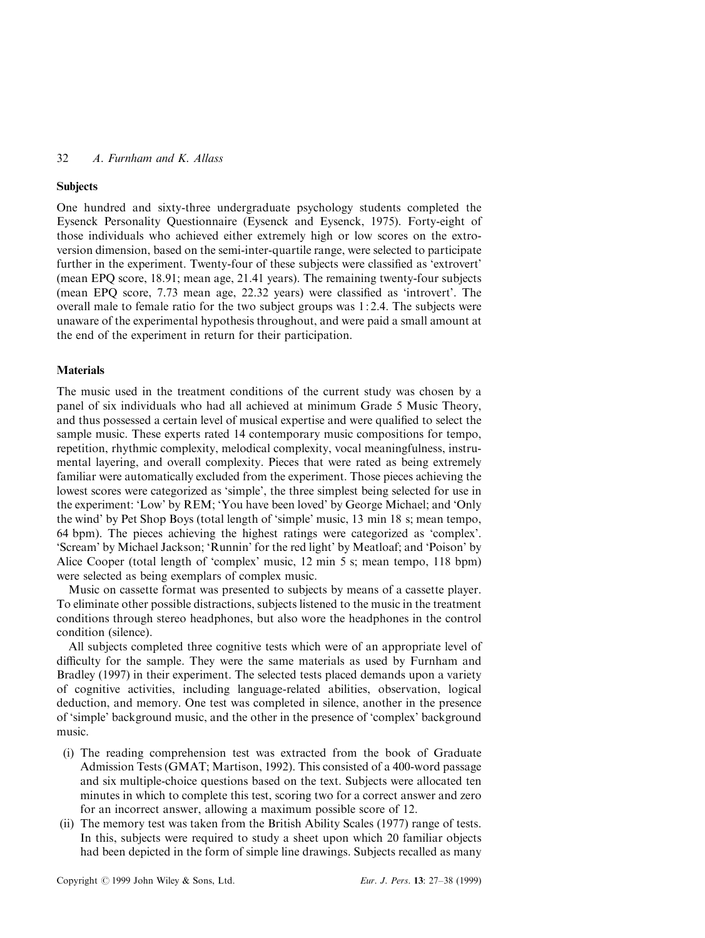#### **Subjects**

One hundred and sixty-three undergraduate psychology students completed the Eysenck Personality Questionnaire (Eysenck and Eysenck, 1975). Forty-eight of those individuals who achieved either extremely high or low scores on the extroversion dimension, based on the semi-inter-quartile range, were selected to participate further in the experiment. Twenty-four of these subjects were classified as 'extrovert' (mean EPQ score, 18.91; mean age, 21.41 years). The remaining twenty-four subjects (mean EPQ score, 7.73 mean age, 22.32 years) were classified as 'introvert'. The overall male to female ratio for the two subject groups was 1: 2.4. The subjects were unaware of the experimental hypothesis throughout, and were paid a small amount at the end of the experiment in return for their participation.

### **Materials**

The music used in the treatment conditions of the current study was chosen by a panel of six individuals who had all achieved at minimum Grade 5 Music Theory, and thus possessed a certain level of musical expertise and were qualified to select the sample music. These experts rated 14 contemporary music compositions for tempo, repetition, rhythmic complexity, melodical complexity, vocal meaningfulness, instrumental layering, and overall complexity. Pieces that were rated as being extremely familiar were automatically excluded from the experiment. Those pieces achieving the lowest scores were categorized as 'simple', the three simplest being selected for use in the experiment: `Low' by REM; `You have been loved' by George Michael; and `Only the wind' by Pet Shop Boys (total length of `simple' music, 13 min 18 s; mean tempo, 64 bpm). The pieces achieving the highest ratings were categorized as `complex'. `Scream' by Michael Jackson; `Runnin' for the red light' by Meatloaf; and `Poison' by Alice Cooper (total length of `complex' music, 12 min 5 s; mean tempo, 118 bpm) were selected as being exemplars of complex music.

Music on cassette format was presented to subjects by means of a cassette player. To eliminate other possible distractions, subjects listened to the music in the treatment conditions through stereo headphones, but also wore the headphones in the control condition (silence).

All subjects completed three cognitive tests which were of an appropriate level of difficulty for the sample. They were the same materials as used by Furnham and Bradley (1997) in their experiment. The selected tests placed demands upon a variety of cognitive activities, including language-related abilities, observation, logical deduction, and memory. One test was completed in silence, another in the presence of `simple' background music, and the other in the presence of `complex' background music.

- (i) The reading comprehension test was extracted from the book of Graduate Admission Tests (GMAT; Martison, 1992). This consisted of a 400-word passage and six multiple-choice questions based on the text. Subjects were allocated ten minutes in which to complete this test, scoring two for a correct answer and zero for an incorrect answer, allowing a maximum possible score of 12.
- (ii) The memory test was taken from the British Ability Scales (1977) range of tests. In this, subjects were required to study a sheet upon which 20 familiar objects had been depicted in the form of simple line drawings. Subjects recalled as many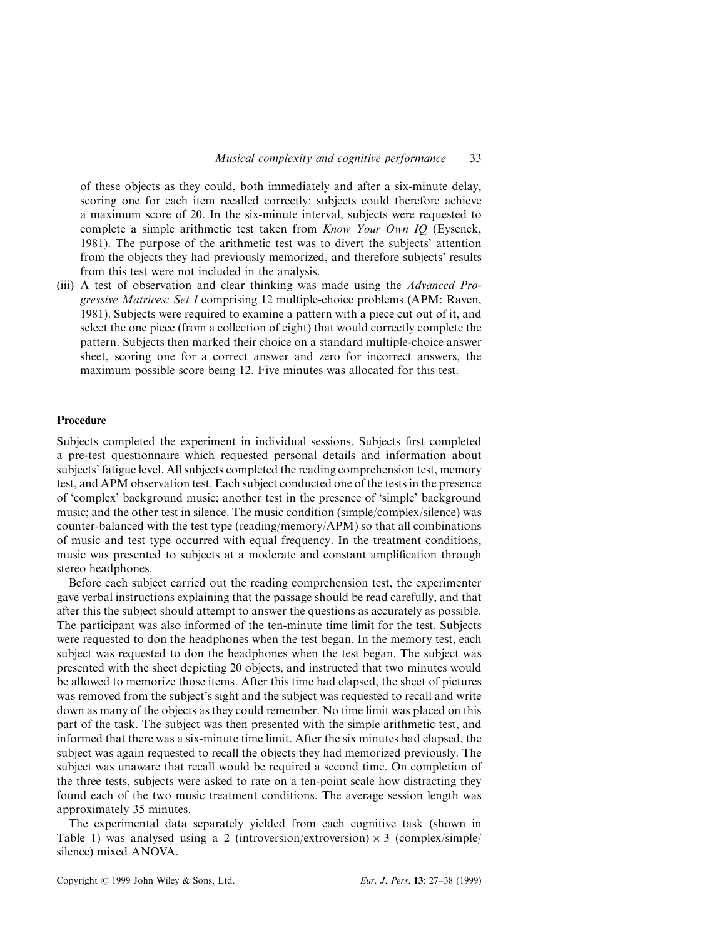of these objects as they could, both immediately and after a six-minute delay, scoring one for each item recalled correctly: subjects could therefore achieve a maximum score of 20. In the six-minute interval, subjects were requested to complete a simple arithmetic test taken from Know Your Own IQ (Eysenck, 1981). The purpose of the arithmetic test was to divert the subjects' attention from the objects they had previously memorized, and therefore subjects' results from this test were not included in the analysis.

(iii) A test of observation and clear thinking was made using the Advanced Progressive Matrices: Set I comprising 12 multiple-choice problems (APM: Raven, 1981). Subjects were required to examine a pattern with a piece cut out of it, and select the one piece (from a collection of eight) that would correctly complete the pattern. Subjects then marked their choice on a standard multiple-choice answer sheet, scoring one for a correct answer and zero for incorrect answers, the maximum possible score being 12. Five minutes was allocated for this test.

### Procedure

Subjects completed the experiment in individual sessions. Subjects first completed a pre-test questionnaire which requested personal details and information about subjects' fatigue level. All subjects completed the reading comprehension test, memory test, and APM observation test. Each subject conducted one of the tests in the presence of `complex' background music; another test in the presence of `simple' background music; and the other test in silence. The music condition (simple/complex/silence) was counter-balanced with the test type (reading/memory/APM) so that all combinations of music and test type occurred with equal frequency. In the treatment conditions, music was presented to subjects at a moderate and constant amplification through stereo headphones.

Before each subject carried out the reading comprehension test, the experimenter gave verbal instructions explaining that the passage should be read carefully, and that after this the subject should attempt to answer the questions as accurately as possible. The participant was also informed of the ten-minute time limit for the test. Subjects were requested to don the headphones when the test began. In the memory test, each subject was requested to don the headphones when the test began. The subject was presented with the sheet depicting 20 objects, and instructed that two minutes would be allowed to memorize those items. After this time had elapsed, the sheet of pictures was removed from the subject's sight and the subject was requested to recall and write down as many of the objects as they could remember. No time limit was placed on this part of the task. The subject was then presented with the simple arithmetic test, and informed that there was a six-minute time limit. After the six minutes had elapsed, the subject was again requested to recall the objects they had memorized previously. The subject was unaware that recall would be required a second time. On completion of the three tests, subjects were asked to rate on a ten-point scale how distracting they found each of the two music treatment conditions. The average session length was approximately 35 minutes.

The experimental data separately yielded from each cognitive task (shown in Table 1) was analysed using a 2 (introversion/extroversion)  $\times$  3 (complex/simple/ silence) mixed ANOVA.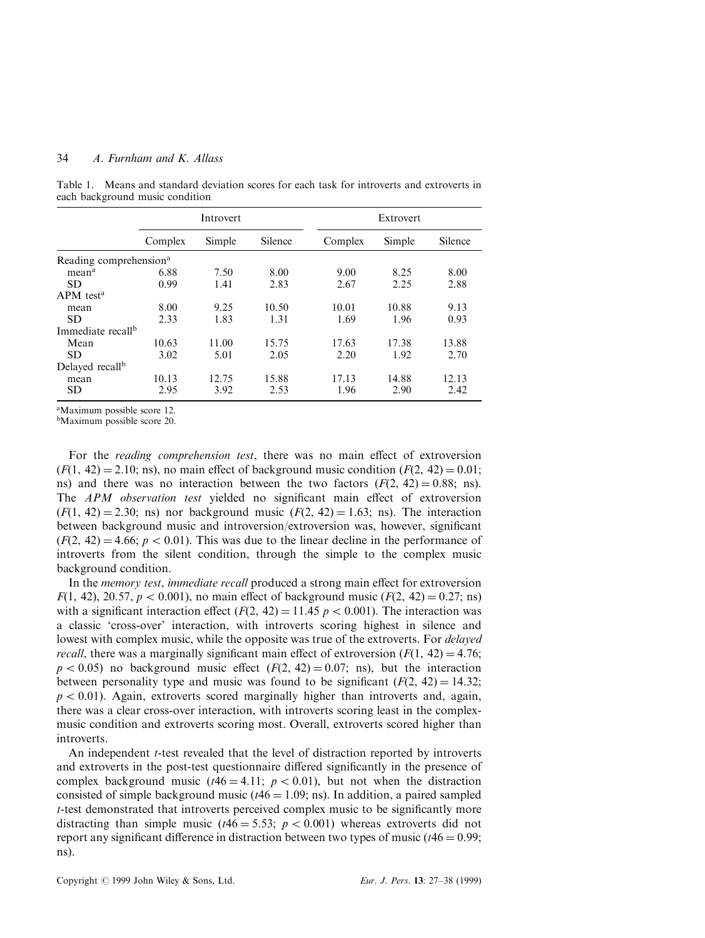|                                    | Introvert |        |         | Extrovert |        |         |
|------------------------------------|-----------|--------|---------|-----------|--------|---------|
|                                    | Complex   | Simple | Silence | Complex   | Simple | Silence |
| Reading comprehension <sup>a</sup> |           |        |         |           |        |         |
| mean <sup>a</sup>                  | 6.88      | 7.50   | 8.00    | 9.00      | 8.25   | 8.00    |
| <b>SD</b>                          | 0.99      | 1.41   | 2.83    | 2.67      | 2.25   | 2.88    |
| $APM$ test <sup>a</sup>            |           |        |         |           |        |         |
| mean                               | 8.00      | 9.25   | 10.50   | 10.01     | 10.88  | 9.13    |
| <b>SD</b>                          | 2.33      | 1.83   | 1.31    | 1.69      | 1.96   | 0.93    |
| Immediate recall <sup>b</sup>      |           |        |         |           |        |         |
| Mean                               | 10.63     | 11.00  | 15.75   | 17.63     | 17.38  | 13.88   |
| <b>SD</b>                          | 3.02      | 5.01   | 2.05    | 2.20      | 1.92   | 2.70    |
| Delayed recall <sup>b</sup>        |           |        |         |           |        |         |
| mean                               | 10.13     | 12.75  | 15.88   | 17.13     | 14.88  | 12.13   |
| <b>SD</b>                          | 2.95      | 3.92   | 2.53    | 1.96      | 2.90   | 2.42    |

Table 1. Means and standard deviation scores for each task for introverts and extroverts in each background music condition

a Maximum possible score 12.

bMaximum possible score 20.

For the reading comprehension test, there was no main effect of extroversion  $(F(1, 42) = 2.10; \text{ns})$ , no main effect of background music condition  $(F(2, 42) = 0.01;$ ns) and there was no interaction between the two factors  $(F(2, 42) = 0.88$ ; ns). The  $APM$  observation test yielded no significant main effect of extroversion  $(F(1, 42) = 2.30;$  ns) nor background music  $(F(2, 42) = 1.63;$  ns). The interaction between background music and introversion/extroversion was, however, significant  $(F(2, 42) = 4.66; p < 0.01)$ . This was due to the linear decline in the performance of introverts from the silent condition, through the simple to the complex music background condition.

In the *memory test, immediate recall* produced a strong main effect for extroversion  $F(1, 42)$ , 20.57,  $p < 0.001$ ), no main effect of background music ( $F(2, 42) = 0.27$ ; ns) with a significant interaction effect  $(F(2, 42) = 11.45 p < 0.001)$ . The interaction was a classic `cross-over' interaction, with introverts scoring highest in silence and lowest with complex music, while the opposite was true of the extroverts. For delayed recall, there was a marginally significant main effect of extroversion ( $F(1, 42) = 4.76$ ;  $p < 0.05$ ) no background music effect ( $F(2, 42) = 0.07$ ; ns), but the interaction between personality type and music was found to be significant  $(F(2, 42) = 14.32$ ;  $p < 0.01$ ). Again, extroverts scored marginally higher than introverts and, again, there was a clear cross-over interaction, with introverts scoring least in the complexmusic condition and extroverts scoring most. Overall, extroverts scored higher than introverts.

An independent *t*-test revealed that the level of distraction reported by introverts and extroverts in the post-test questionnaire differed significantly in the presence of complex background music ( $t46 = 4.11$ ;  $p < 0.01$ ), but not when the distraction consisted of simple background music ( $t46 = 1.09$ ; ns). In addition, a paired sampled  $t$ -test demonstrated that introverts perceived complex music to be significantly more distracting than simple music ( $t46 = 5.53$ ;  $p < 0.001$ ) whereas extroverts did not report any significant difference in distraction between two types of music ( $t46 = 0.99$ ; ns).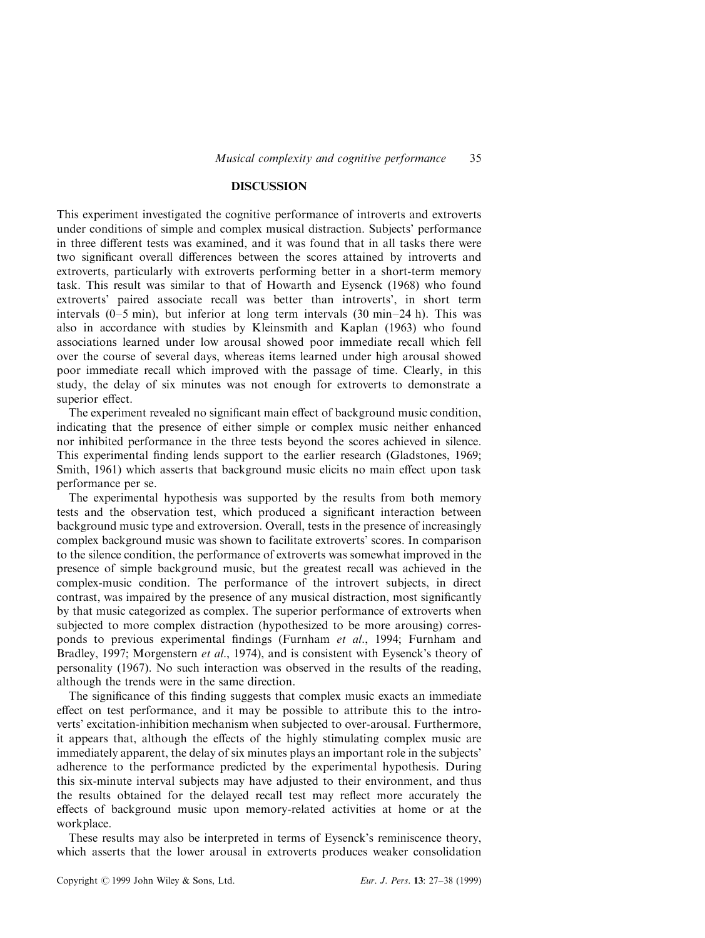# DISCUSSION

This experiment investigated the cognitive performance of introverts and extroverts under conditions of simple and complex musical distraction. Subjects' performance in three different tests was examined, and it was found that in all tasks there were two significant overall differences between the scores attained by introverts and extroverts, particularly with extroverts performing better in a short-term memory task. This result was similar to that of Howarth and Eysenck (1968) who found extroverts' paired associate recall was better than introverts', in short term intervals  $(0-5 \text{ min})$ , but inferior at long term intervals  $(30 \text{ min}-24 \text{ h})$ . This was also in accordance with studies by Kleinsmith and Kaplan (1963) who found associations learned under low arousal showed poor immediate recall which fell over the course of several days, whereas items learned under high arousal showed poor immediate recall which improved with the passage of time. Clearly, in this study, the delay of six minutes was not enough for extroverts to demonstrate a superior effect.

The experiment revealed no significant main effect of background music condition, indicating that the presence of either simple or complex music neither enhanced nor inhibited performance in the three tests beyond the scores achieved in silence. This experimental finding lends support to the earlier research (Gladstones, 1969; Smith, 1961) which asserts that background music elicits no main effect upon task performance per se.

The experimental hypothesis was supported by the results from both memory tests and the observation test, which produced a significant interaction between background music type and extroversion. Overall, tests in the presence of increasingly complex background music was shown to facilitate extroverts' scores. In comparison to the silence condition, the performance of extroverts was somewhat improved in the presence of simple background music, but the greatest recall was achieved in the complex-music condition. The performance of the introvert subjects, in direct contrast, was impaired by the presence of any musical distraction, most significantly by that music categorized as complex. The superior performance of extroverts when subjected to more complex distraction (hypothesized to be more arousing) corresponds to previous experimental findings (Furnham et al., 1994; Furnham and Bradley, 1997; Morgenstern *et al.*, 1974), and is consistent with Eysenck's theory of personality (1967). No such interaction was observed in the results of the reading, although the trends were in the same direction.

The significance of this finding suggests that complex music exacts an immediate effect on test performance, and it may be possible to attribute this to the introverts' excitation-inhibition mechanism when subjected to over-arousal. Furthermore, it appears that, although the effects of the highly stimulating complex music are immediately apparent, the delay of six minutes plays an important role in the subjects' adherence to the performance predicted by the experimental hypothesis. During this six-minute interval subjects may have adjusted to their environment, and thus the results obtained for the delayed recall test may reflect more accurately the effects of background music upon memory-related activities at home or at the workplace.

These results may also be interpreted in terms of Eysenck's reminiscence theory, which asserts that the lower arousal in extroverts produces weaker consolidation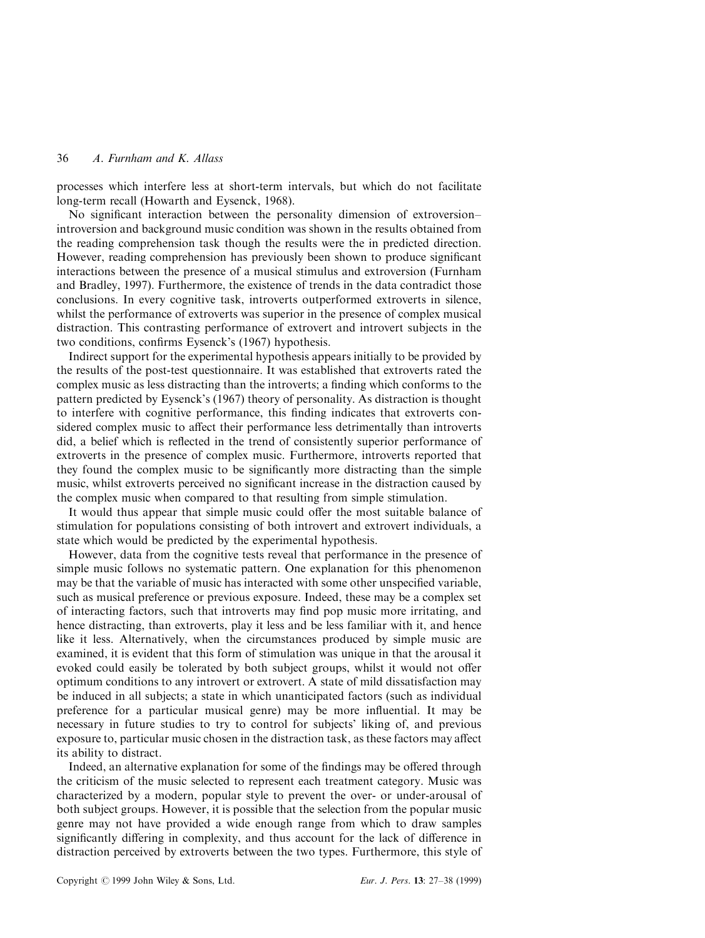processes which interfere less at short-term intervals, but which do not facilitate long-term recall (Howarth and Eysenck, 1968).

No significant interaction between the personality dimension of extroversionintroversion and background music condition was shown in the results obtained from the reading comprehension task though the results were the in predicted direction. However, reading comprehension has previously been shown to produce significant interactions between the presence of a musical stimulus and extroversion (Furnham and Bradley, 1997). Furthermore, the existence of trends in the data contradict those conclusions. In every cognitive task, introverts outperformed extroverts in silence, whilst the performance of extroverts was superior in the presence of complex musical distraction. This contrasting performance of extrovert and introvert subjects in the two conditions, confirms Eysenck's (1967) hypothesis.

Indirect support for the experimental hypothesis appears initially to be provided by the results of the post-test questionnaire. It was established that extroverts rated the complex music as less distracting than the introverts; a finding which conforms to the pattern predicted by Eysenck's (1967) theory of personality. As distraction is thought to interfere with cognitive performance, this finding indicates that extroverts considered complex music to affect their performance less detrimentally than introverts did, a belief which is reflected in the trend of consistently superior performance of extroverts in the presence of complex music. Furthermore, introverts reported that they found the complex music to be significantly more distracting than the simple music, whilst extroverts perceived no significant increase in the distraction caused by the complex music when compared to that resulting from simple stimulation.

It would thus appear that simple music could offer the most suitable balance of stimulation for populations consisting of both introvert and extrovert individuals, a state which would be predicted by the experimental hypothesis.

However, data from the cognitive tests reveal that performance in the presence of simple music follows no systematic pattern. One explanation for this phenomenon may be that the variable of music has interacted with some other unspecified variable, such as musical preference or previous exposure. Indeed, these may be a complex set of interacting factors, such that introverts may find pop music more irritating, and hence distracting, than extroverts, play it less and be less familiar with it, and hence like it less. Alternatively, when the circumstances produced by simple music are examined, it is evident that this form of stimulation was unique in that the arousal it evoked could easily be tolerated by both subject groups, whilst it would not offer optimum conditions to any introvert or extrovert. A state of mild dissatisfaction may be induced in all subjects; a state in which unanticipated factors (such as individual preference for a particular musical genre) may be more influential. It may be necessary in future studies to try to control for subjects' liking of, and previous exposure to, particular music chosen in the distraction task, as these factors may affect its ability to distract.

Indeed, an alternative explanation for some of the findings may be offered through the criticism of the music selected to represent each treatment category. Music was characterized by a modern, popular style to prevent the over- or under-arousal of both subject groups. However, it is possible that the selection from the popular music genre may not have provided a wide enough range from which to draw samples significantly differing in complexity, and thus account for the lack of difference in distraction perceived by extroverts between the two types. Furthermore, this style of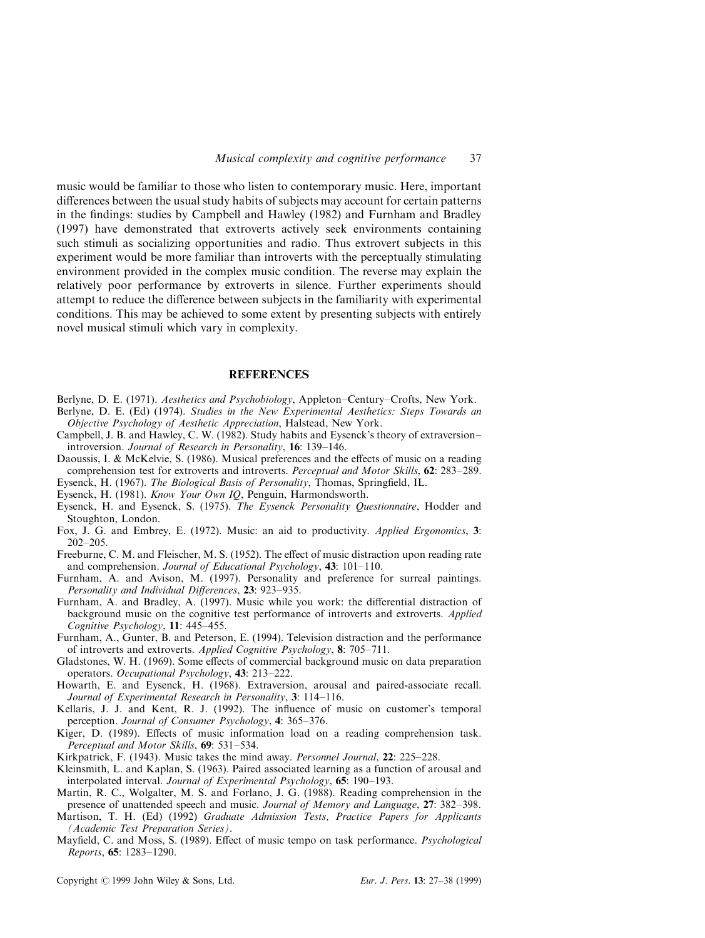music would be familiar to those who listen to contemporary music. Here, important differences between the usual study habits of subjects may account for certain patterns in the findings: studies by Campbell and Hawley (1982) and Furnham and Bradley (1997) have demonstrated that extroverts actively seek environments containing such stimuli as socializing opportunities and radio. Thus extrovert subjects in this experiment would be more familiar than introverts with the perceptually stimulating environment provided in the complex music condition. The reverse may explain the relatively poor performance by extroverts in silence. Further experiments should attempt to reduce the difference between subjects in the familiarity with experimental conditions. This may be achieved to some extent by presenting subjects with entirely novel musical stimuli which vary in complexity.

### **REFERENCES**

- Berlyne, D. E. (1971). Aesthetics and Psychobiology, Appleton–Century–Crofts, New York.
- Berlyne, D. E. (Ed) (1974). Studies in the New Experimental Aesthetics: Steps Towards an Objective Psychology of Aesthetic Appreciation, Halstead, New York.
- Campbell, J. B. and Hawley, C. W. (1982). Study habits and Eysenck's theory of extraversion– introversion. Journal of Research in Personality,  $16: 139-146$ .
- Daoussis, I. & McKelvie, S. (1986). Musical preferences and the effects of music on a reading comprehension test for extroverts and introverts. *Perceptual and Motor Skills*, **62**: 283–289.
- Eysenck, H. (1967). The Biological Basis of Personality, Thomas, Springfield, IL.
- Eysenck, H. (1981). Know Your Own IQ, Penguin, Harmondsworth.
- Eysenck, H. and Eysenck, S. (1975). The Eysenck Personality Questionnaire, Hodder and Stoughton, London.
- Fox, J. G. and Embrey, E. (1972). Music: an aid to productivity. Applied Ergonomics, 3:  $202 - 205$ .
- Freeburne, C. M. and Fleischer, M. S. (1952). The effect of music distraction upon reading rate and comprehension. Journal of Educational Psychology,  $43:101-110$ .
- Furnham, A. and Avison, M. (1997). Personality and preference for surreal paintings. Personality and Individual Differences, 23: 923-935.
- Furnham, A. and Bradley, A. (1997). Music while you work: the differential distraction of background music on the cognitive test performance of introverts and extroverts. Applied Cognitive Psychology, 11: 445-455.
- Furnham, A., Gunter, B. and Peterson, E. (1994). Television distraction and the performance of introverts and extroverts. Applied Cognitive Psychology, 8: 705-711.
- Gladstones, W. H. (1969). Some effects of commercial background music on data preparation operators. Occupational Psychology, 43: 213-222.
- Howarth, E. and Eysenck, H. (1968). Extraversion, arousal and paired-associate recall. Journal of Experimental Research in Personality,  $3: 114-116$ .
- Kellaris, J. J. and Kent, R. J. (1992). The influence of music on customer's temporal perception. Journal of Consumer Psychology, 4: 365-376.
- Kiger, D. (1989). Effects of music information load on a reading comprehension task. Perceptual and Motor Skills, 69: 531-534.
- Kirkpatrick, F. (1943). Music takes the mind away. *Personnel Journal*,  $22: 225-228$ .
- Kleinsmith, L. and Kaplan, S. (1963). Paired associated learning as a function of arousal and interpolated interval. Journal of Experimental Psychology, 65: 190-193.
- Martin, R. C., Wolgalter, M. S. and Forlano, J. G. (1988). Reading comprehension in the presence of unattended speech and music. Journal of Memory and Language, 27: 382–398.
- Martison, T. H. (Ed) (1992) Graduate Admission Tests, Practice Papers for Applicants (Academic Test Preparation Series).
- Mayfield, C. and Moss, S. (1989). Effect of music tempo on task performance. Psychological Reports, 65: 1283-1290.